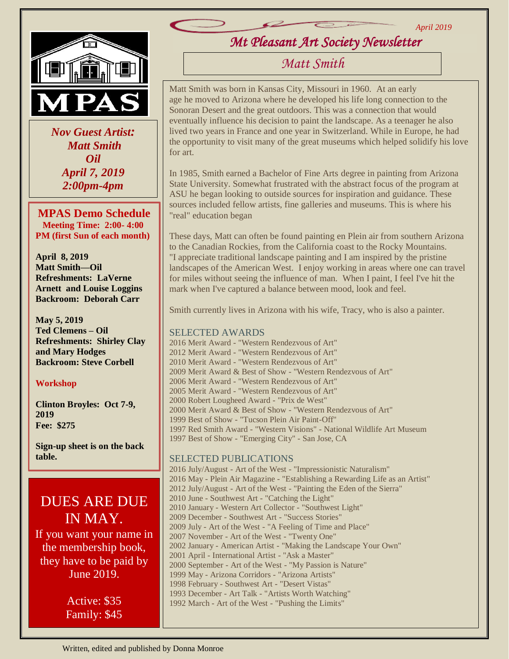

 *Nov Guest Artist: Matt Smith Oil April 7, 2019 2:00pm-4pm*

**MPAS Demo Schedule Meeting Time: 2:00- 4:00 PM (first Sun of each month)**

**April 8, 2019 Matt Smith—Oil Refreshments: LaVerne Arnett and Louise Loggins Backroom: Deborah Carr**

**May 5, 2019 Ted Clemens – Oil Refreshments: Shirley Clay and Mary Hodges Backroom: Steve Corbell**

#### **Workshop**

**Clinton Broyles: Oct 7-9, 2019 Fee: \$275**

**Sign-up sheet is on the back table.**

## DUES ARE DUE IN MAY.

If you want your name in the membership book, they have to be paid by June 2019.

> Active: \$35 Family: \$45

*Mt Pleasant Art Society Newsletter* 

*April 2019*

*Matt Smith*

Matt Smith was born in Kansas City, Missouri in 1960. At an early age he moved to Arizona where he developed his life long connection to the Sonoran Desert and the great outdoors. This was a connection that would eventually influence his decision to paint the landscape. As a teenager he also lived two years in France and one year in Switzerland. While in Europe, he had the opportunity to visit many of the great museums which helped solidify his love for art.

In 1985, Smith earned a Bachelor of Fine Arts degree in painting from Arizona State University. Somewhat frustrated with the abstract focus of the program at ASU he began looking to outside sources for inspiration and guidance. These sources included fellow artists, fine galleries and museums. This is where his "real" education began

These days, Matt can often be found painting en Plein air from southern Arizona to the Canadian Rockies, from the California coast to the Rocky Mountains. "I appreciate traditional landscape painting and I am inspired by the pristine landscapes of the American West. I enjoy working in areas where one can travel for miles without seeing the influence of man. When I paint, I feel I've hit the mark when I've captured a balance between mood, look and feel.

Smith currently lives in Arizona with his wife, Tracy, who is also a painter.

#### SELECTED AWARDS

2016 Merit Award - "Western Rendezvous of Art" 2012 Merit Award - "Western Rendezvous of Art" 2010 Merit Award - "Western Rendezvous of Art" 2009 Merit Award & Best of Show - "Western Rendezvous of Art" 2006 Merit Award - "Western Rendezvous of Art" 2005 Merit Award - "Western Rendezvous of Art" 2000 Robert Lougheed Award - "Prix de West" 2000 Merit Award & Best of Show - "Western Rendezvous of Art" 1999 Best of Show - "Tucson Plein Air Paint-Off" 1997 Red Smith Award - "Western Visions" - National Wildlife Art Museum 1997 Best of Show - "Emerging City" - San Jose, CA

#### SELECTED PUBLICATIONS

 2000 September - Art of the West - "My Passion is Nature" 1999 May - Arizona Corridors - "Arizona Artists" 2016 July/August - Art of the West - "Impressionistic Naturalism" 2016 May - Plein Air Magazine - "Establishing a Rewarding Life as an Artist" 2012 July/August - Art of the West - "Painting the Eden of the Sierra" 2010 June - Southwest Art - "Catching the Light" 2010 January - Western Art Collector - "Southwest Light" 2009 December - Southwest Art - "Success Stories" 2009 July - Art of the West - "A Feeling of Time and Place" 2007 November - Art of the West - "Twenty One" 2002 January - American Artist - "Making the Landscape Your Own" 2001 April - International Artist - "Ask a Master" 1998 February - Southwest Art - "Desert Vistas" 1993 December - Art Talk - "Artists Worth Watching" 1992 March - Art of the West - "Pushing the Limits"